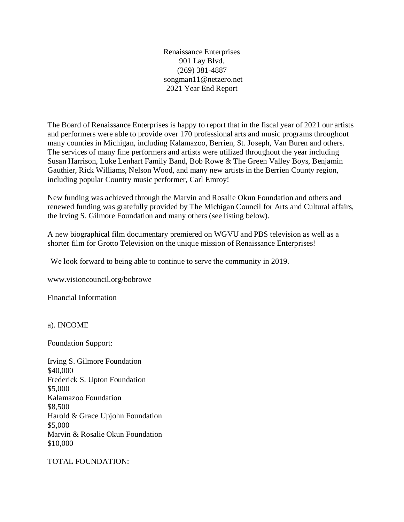Renaissance Enterprises 901 Lay Blvd. (269) 381-4887 songman11@netzero.net 2021 Year End Report

The Board of Renaissance Enterprises is happy to report that in the fiscal year of 2021 our artists and performers were able to provide over 170 professional arts and music programs throughout many counties in Michigan, including Kalamazoo, Berrien, St. Joseph, Van Buren and others. The services of many fine performers and artists were utilized throughout the year including Susan Harrison, Luke Lenhart Family Band, Bob Rowe & The Green Valley Boys, Benjamin Gauthier, Rick Williams, Nelson Wood, and many new artists in the Berrien County region, including popular Country music performer, Carl Emroy!

New funding was achieved through the Marvin and Rosalie Okun Foundation and others and renewed funding was gratefully provided by The Michigan Council for Arts and Cultural affairs, the Irving S. Gilmore Foundation and many others (see listing below).

A new biographical film documentary premiered on WGVU and PBS television as well as a shorter film for Grotto Television on the unique mission of Renaissance Enterprises!

We look forward to being able to continue to serve the community in 2019.

<www.visioncouncil.org/bobrowe>

Financial Information

a). INCOME

Foundation Support:

Irving S. Gilmore Foundation \$40,000 Frederick S. Upton Foundation \$5,000 Kalamazoo Foundation \$8,500 Harold & Grace Upjohn Foundation \$5,000 Marvin & Rosalie Okun Foundation \$10,000

TOTAL FOUNDATION: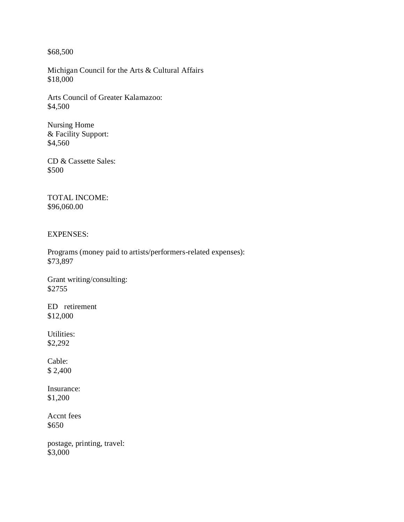\$68,500

Michigan Council for the Arts & Cultural Affairs \$18,000

Arts Council of Greater Kalamazoo: \$4,500

Nursing Home & Facility Support: \$4,560

CD & Cassette Sales: \$500

TOTAL INCOME: \$96,060.00

EXPENSES:

Programs (money paid to artists/performers-related expenses): \$73,897

Grant writing/consulting: \$2755

ED retirement \$12,000

Utilities: \$2,292

Cable: \$ 2,400

Insurance: \$1,200

Accnt fees \$650

postage, printing, travel: \$3,000